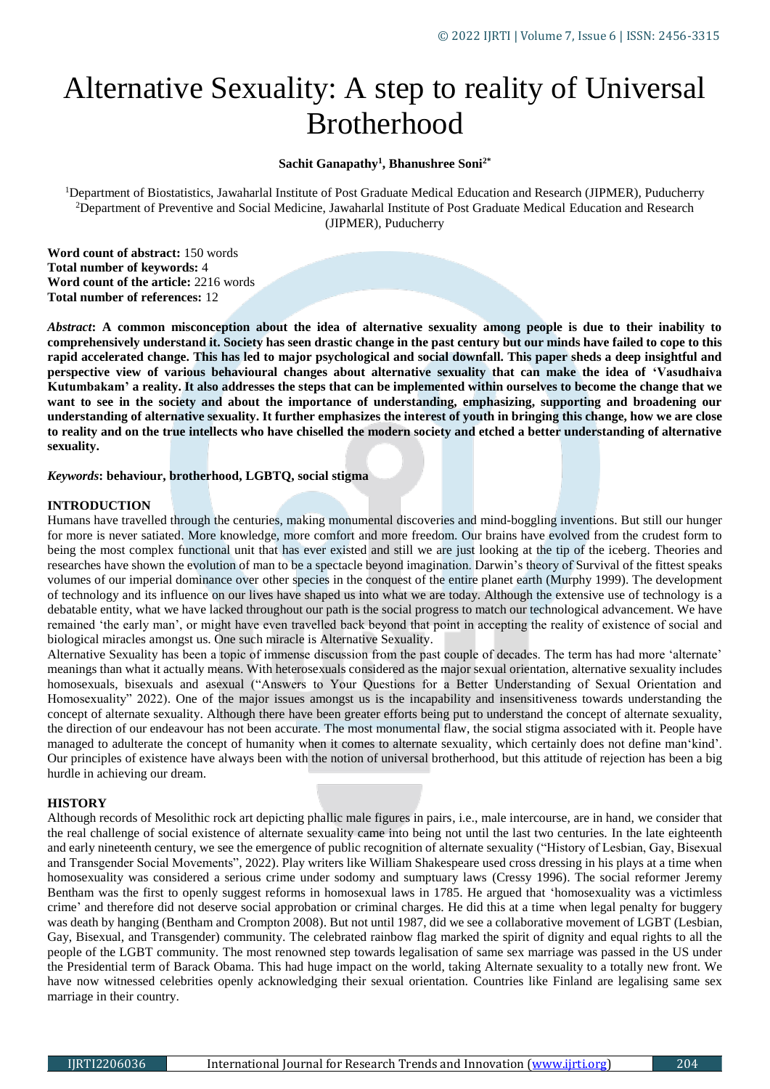# Alternative Sexuality: A step to reality of Universal Brotherhood

# **Sachit Ganapathy<sup>1</sup> , Bhanushree Soni2\***

<sup>1</sup>Department of Biostatistics, Jawaharlal Institute of Post Graduate Medical Education and Research (JIPMER), Puducherry <sup>2</sup>Department of Preventive and Social Medicine, Jawaharlal Institute of Post Graduate Medical Education and Research (JIPMER), Puducherry

**Word count of abstract:** 150 words **Total number of keywords:** 4 **Word count of the article:** 2216 words **Total number of references:** 12

*Abstract***: A common misconception about the idea of alternative sexuality among people is due to their inability to comprehensively understand it. Society has seen drastic change in the past century but our minds have failed to cope to this rapid accelerated change. This has led to major psychological and social downfall. This paper sheds a deep insightful and perspective view of various behavioural changes about alternative sexuality that can make the idea of 'Vasudhaiva Kutumbakam' a reality. It also addresses the steps that can be implemented within ourselves to become the change that we want to see in the society and about the importance of understanding, emphasizing, supporting and broadening our understanding of alternative sexuality. It further emphasizes the interest of youth in bringing this change, how we are close to reality and on the true intellects who have chiselled the modern society and etched a better understanding of alternative sexuality.**

*Keywords***: behaviour, brotherhood, LGBTQ, social stigma** 

# **INTRODUCTION**

Humans have travelled through the centuries, making monumental discoveries and mind-boggling inventions. But still our hunger for more is never satiated. More knowledge, more comfort and more freedom. Our brains have evolved from the crudest form to being the most complex functional unit that has ever existed and still we are just looking at the tip of the iceberg. Theories and researches have shown the evolution of man to be a spectacle beyond imagination. Darwin's theory of Survival of the fittest speaks volumes of our imperial dominance over other species in the conquest of the entire planet earth (Murphy 1999). The development of technology and its influence on our lives have shaped us into what we are today. Although the extensive use of technology is a debatable entity, what we have lacked throughout our path is the social progress to match our technological advancement. We have remained 'the early man', or might have even travelled back beyond that point in accepting the reality of existence of social and biological miracles amongst us. One such miracle is Alternative Sexuality.

Alternative Sexuality has been a topic of immense discussion from the past couple of decades. The term has had more 'alternate' meanings than what it actually means. With heterosexuals considered as the major sexual orientation, alternative sexuality includes homosexuals, bisexuals and asexual ("Answers to Your Questions for a Better Understanding of Sexual Orientation and Homosexuality" 2022). One of the major issues amongst us is the incapability and insensitiveness towards understanding the concept of alternate sexuality. Although there have been greater efforts being put to understand the concept of alternate sexuality, the direction of our endeavour has not been accurate. The most monumental flaw, the social stigma associated with it. People have managed to adulterate the concept of humanity when it comes to alternate sexuality, which certainly does not define man'kind'. Our principles of existence have always been with the notion of universal brotherhood, but this attitude of rejection has been a big hurdle in achieving our dream.

# **HISTORY**

Although records of Mesolithic rock art depicting phallic male figures in pairs, i.e., male intercourse, are in hand, we consider that the real challenge of social existence of alternate sexuality came into being not until the last two centuries. In the late eighteenth and early nineteenth century, we see the emergence of public recognition of alternate sexuality ("History of Lesbian, Gay, Bisexual and Transgender Social Movements", 2022). Play writers like William Shakespeare used cross dressing in his plays at a time when homosexuality was considered a serious crime under sodomy and sumptuary laws (Cressy 1996). The social reformer Jeremy Bentham was the first to openly suggest reforms in homosexual laws in 1785. He argued that 'homosexuality was a victimless crime' and therefore did not deserve social approbation or criminal charges. He did this at a time when legal penalty for buggery was death by hanging (Bentham and Crompton 2008). But not until 1987, did we see a collaborative movement of LGBT (Lesbian, Gay, Bisexual, and Transgender) community. The celebrated rainbow flag marked the spirit of dignity and equal rights to all the people of the LGBT community. The most renowned step towards legalisation of same sex marriage was passed in the US under the Presidential term of Barack Obama. This had huge impact on the world, taking Alternate sexuality to a totally new front. We have now witnessed celebrities openly acknowledging their sexual orientation. Countries like Finland are legalising same sex marriage in their country.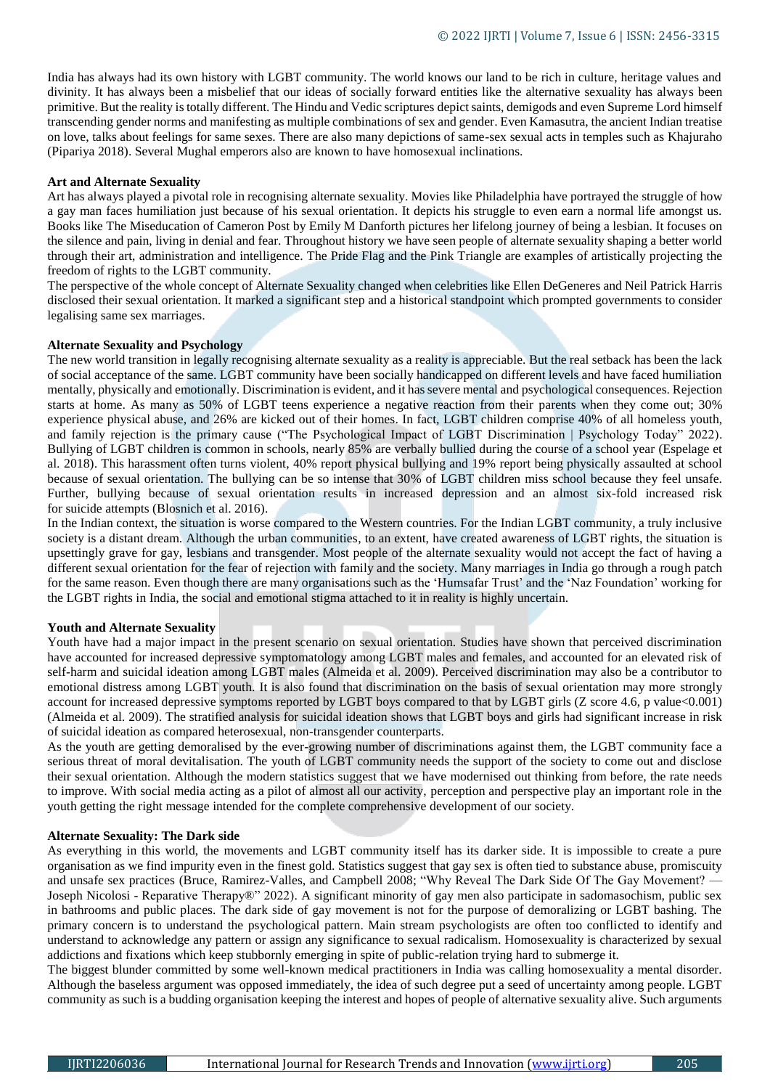India has always had its own history with LGBT community. The world knows our land to be rich in culture, heritage values and divinity. It has always been a misbelief that our ideas of socially forward entities like the alternative sexuality has always been primitive. But the reality is totally different. The Hindu and Vedic scriptures depict saints, demigods and even Supreme Lord himself transcending gender norms and manifesting as multiple combinations of sex and gender. Even Kamasutra, the ancient Indian treatise on love, talks about feelings for same sexes. There are also many depictions of same-sex sexual acts in temples such as Khajuraho (Pipariya 2018). Several Mughal emperors also are known to have homosexual inclinations.

#### **Art and Alternate Sexuality**

Art has always played a pivotal role in recognising alternate sexuality. Movies like Philadelphia have portrayed the struggle of how a gay man faces humiliation just because of his sexual orientation. It depicts his struggle to even earn a normal life amongst us. Books like The Miseducation of Cameron Post by Emily M Danforth pictures her lifelong journey of being a lesbian. It focuses on the silence and pain, living in denial and fear. Throughout history we have seen people of alternate sexuality shaping a better world through their art, administration and intelligence. The Pride Flag and the Pink Triangle are examples of artistically projecting the freedom of rights to the LGBT community.

The perspective of the whole concept of Alternate Sexuality changed when celebrities like Ellen DeGeneres and Neil Patrick Harris disclosed their sexual orientation. It marked a significant step and a historical standpoint which prompted governments to consider legalising same sex marriages.

## **Alternate Sexuality and Psychology**

The new world transition in legally recognising alternate sexuality as a reality is appreciable. But the real setback has been the lack of social acceptance of the same. LGBT community have been socially handicapped on different levels and have faced humiliation mentally, physically and emotionally. Discrimination is evident, and it has severe mental and psychological consequences. Rejection starts at home. As many as 50% of LGBT teens experience a negative reaction from their [parents](https://www.psychologytoday.com/basics/parenting) when they come out; 30% experience [physical abuse,](http://www.nrcyd.ou.edu/lgbtq-youth) and 26% are kicked out of their homes. In fact, LGBT children comprise 40% of all [homeless](http://thinkprogress.org/lgbt/2012/07/12/515641/study-40-percent-of-homeless-youth-are-lgbt-family-rejection-is-leading-cause/) youth, and family [rejection](http://www.pediatricsdigest.mobi/content/123/1/346.full) is the primary cause ("The Psychological Impact of LGBT Discrimination | Psychology Today" 2022). [Bullying](http://www.huffingtonpost.com/2011/05/16/lgbt-bullying-in-school_n_862170.html) of LGBT children is common in schools, nearly 85% are verbally bullied during the course of a school year (Espelage et al. 2018). This harassment often turns violent, 40% report physical [bullying](https://www.psychologytoday.com/basics/bullying) and 19% report being physically assaulted at school because of sexual orientation. The bullying can be so intense that 30% of LGBT children [miss school](http://journalistsresource.org/studies/society/education/effect-negative-school-climate-academic-outcomes-lgbt-youth-school) because they feel unsafe. Further, bullying because of sexual orientation results in increased [depression](https://www.psychologytoday.com/basics/depression) and an almost six-fold increased risk for [suicide](http://www.saashsc.org/wordpress/wp-content/uploads/2012/02/LGBT-Adolescent-School-Victimization.pdf) attempts (Blosnich et al. 2016).

In the Indian context, the situation is worse compared to the Western countries. For the Indian LGBT community, a truly inclusive society is a distant dream. Although the urban communities, to an extent, have created awareness of LGBT rights, the situation is upsettingly grave for gay, lesbians and transgender. Most people of the alternate sexuality would not accept the fact of having a different sexual orientation for the fear of rejection with family and the society. Many marriages in India go through a rough patch for the same reason. Even though there are many organisations such as the 'Humsafar Trust' and the 'Naz Foundation' working for the LGBT rights in India, the social and emotional stigma attached to it in reality is highly uncertain.

#### **Youth and Alternate Sexuality**

Youth have had a major impact in the present scenario on sexual orientation. Studies have shown that perceived discrimination have accounted for increased depressive symptomatology among LGBT males and females, and accounted for an elevated risk of self-harm and suicidal ideation among LGBT males (Almeida et al. 2009). Perceived discrimination may also be a contributor to emotional distress among LGBT youth. It is also found that discrimination on the basis of sexual orientation may more strongly account for increased depressive symptoms reported by LGBT boys compared to that by LGBT girls (Z score 4.6, p value<0.001) (Almeida et al. 2009). The stratified analysis for suicidal ideation shows that LGBT boys and girls had significant increase in risk of suicidal ideation as compared heterosexual, non-transgender counterparts.

As the youth are getting demoralised by the ever-growing number of discriminations against them, the LGBT community face a serious threat of moral devitalisation. The youth of LGBT community needs the support of the society to come out and disclose their sexual orientation. Although the modern statistics suggest that we have modernised out thinking from before, the rate needs to improve. With social media acting as a pilot of almost all our activity, perception and perspective play an important role in the youth getting the right message intended for the complete comprehensive development of our society.

#### **Alternate Sexuality: The Dark side**

As everything in this world, the movements and LGBT community itself has its darker side. It is impossible to create a pure organisation as we find impurity even in the finest gold. Statistics suggest that gay sex is often tied to substance abuse, promiscuity and unsafe sex practices (Bruce, Ramirez-Valles, and Campbell 2008; "Why Reveal The Dark Side Of The Gay Movement? — Joseph Nicolosi - Reparative Therapy®" 2022). A significant minority of gay men also participate in sadomasochism, public sex in bathrooms and public places. The dark side of gay movement is not for the purpose of demoralizing or LGBT bashing. The primary concern is to understand the psychological pattern. Main stream psychologists are often too conflicted to identify and understand to acknowledge any pattern or assign any significance to sexual radicalism. Homosexuality is characterized by sexual addictions and fixations which keep stubbornly emerging in spite of public-relation trying hard to submerge it.

The biggest blunder committed by some well-known medical practitioners in India was calling homosexuality a mental disorder. Although the baseless argument was opposed immediately, the idea of such degree put a seed of uncertainty among people. LGBT community as such is a budding organisation keeping the interest and hopes of people of alternative sexuality alive. Such arguments